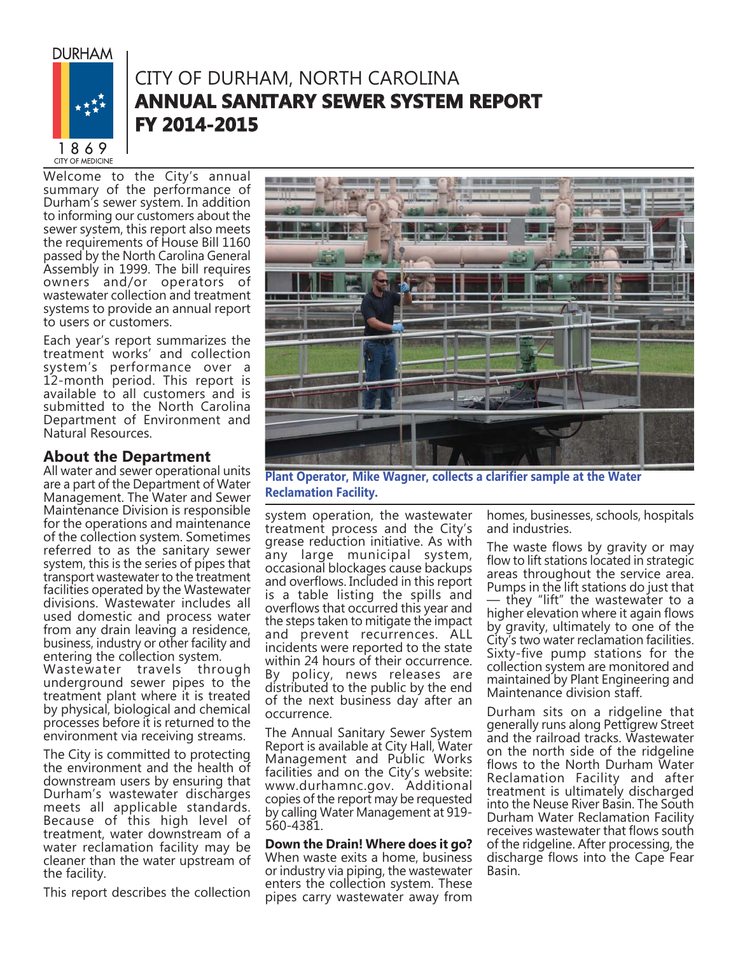**DURHAM** 



## CITY OF DURHAM, NORTH CAROLINA **ANNUAL SANITARY SEWER SYSTEM REPORT FY 2014-2015 Y**

Welcome to the City's annual summary of the performance of Durham's sewer system. In addition to informing our customers about the sewer system, this report also meets the requirements of House Bill 1160 passed by the North Carolina General Assembly in 1999. The bill requires owners and/or operators of wastewater collection and treatment systems to provide an annual report to users or customers.

Each year's report summarizes the treatment works' and collection system's performance over a 12-month period. This report is available to all customers and is submitted to the North Carolina Department of Environment and Natural Resources.

### **About the Department**

All water and sewer operational units are a part of the Department of Water Management. The Water and Sewer Maintenance Division is responsible for the operations and maintenance of the collection system. Sometimes referred to as the sanitary sewer system, this is the series of pipes that transport wastewater to the treatment facilities operated by the Wastewater divisions. Wastewater includes all used domestic and process water from any drain leaving a residence, business, industry or other facility and entering the collection system. Wastewater travels through underground sewer pipes to the

treatment plant where it is treated by physical, biological and chemical processes before it is returned to the environment via receiving streams.

The City is committed to protecting the environment and the health of downstream users by ensuring that Durham's wastewater discharges meets all applicable standards. Because of this high level of treatment, water downstream of a water reclamation facility may be cleaner than the water upstream of the facility.

This report describes the collection



**Plant Operator, Mike Wagner, collects a clarifier sample at the Water Reclamation Facility.**

system operation, the wastewater treatment process and the City's grease reduction initiative. As with any large municipal system, occasional blockages cause backups and overflows. Included in this report is a table listing the spills and overflows that occurred this year and the steps taken to mitigate the impact and prevent recurrences. ALL incidents were reported to the state within 24 hours of their occurrence. By policy, news releases are distributed to the public by the end of the next business day after an occurrence.

The Annual Sanitary Sewer System Report is available at City Hall, Water Management and Public Works facilities and on the City's website: www.durhamnc.gov. Additional copies of the report may be requested by calling Water Management at 919- 560-4381.

#### **Down the Drain! Where does it go?** When waste exits a home, business or industry via piping, the wastewater enters the collection system. These pipes carry wastewater away from

homes, businesses, schools, hospitals and industries.

The waste flows by gravity or may flow to lift stations located in strategic areas throughout the service area. Pumps in the lift stations do just that — they "lift" the wastewater to a higher elevation where it again flows by gravity, ultimately to one of the City's two water reclamation facilities. Sixty-five pump stations for the collection system are monitored and maintained by Plant Engineering and Maintenance division staff.

Durham sits on a ridgeline that generally runs along Pettigrew Street and the railroad tracks. Wastewater on the north side of the ridgeline flows to the North Durham Water Reclamation Facility and after treatment is ultimately discharged into the Neuse River Basin. The South Durham Water Reclamation Facility receives wastewater that flows south of the ridgeline. After processing, the discharge flows into the Cape Fear Basin.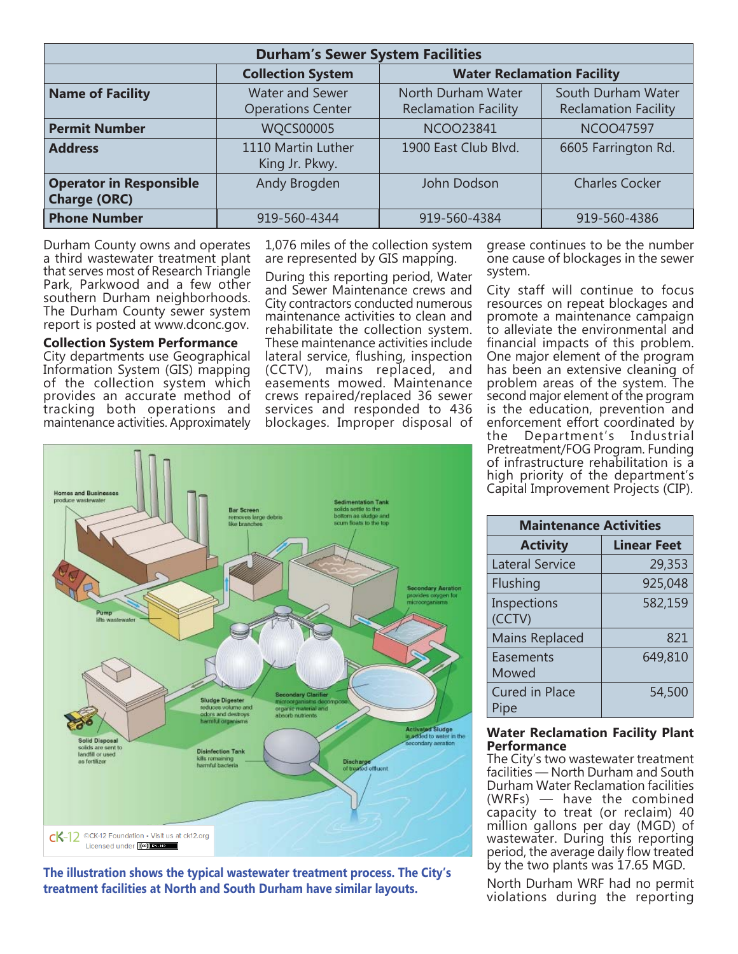| <b>Durham's Sewer System Facilities</b>               |                                                    |                                                   |                                                   |  |  |  |  |
|-------------------------------------------------------|----------------------------------------------------|---------------------------------------------------|---------------------------------------------------|--|--|--|--|
|                                                       | <b>Collection System</b>                           | <b>Water Reclamation Facility</b>                 |                                                   |  |  |  |  |
| <b>Name of Facility</b>                               | <b>Water and Sewer</b><br><b>Operations Center</b> | North Durham Water<br><b>Reclamation Facility</b> | South Durham Water<br><b>Reclamation Facility</b> |  |  |  |  |
| <b>Permit Number</b>                                  | <b>WQCS00005</b>                                   | <b>NCOO23841</b>                                  | <b>NCOO47597</b>                                  |  |  |  |  |
| <b>Address</b>                                        | 1110 Martin Luther<br>King Jr. Pkwy.               | 1900 East Club Blvd.                              | 6605 Farrington Rd.                               |  |  |  |  |
| <b>Operator in Responsible</b><br><b>Charge (ORC)</b> | Andy Brogden                                       | John Dodson                                       | <b>Charles Cocker</b>                             |  |  |  |  |
| <b>Phone Number</b>                                   | 919-560-4344                                       | 919-560-4384                                      | 919-560-4386                                      |  |  |  |  |

Durham County owns and operates a third wastewater treatment plant that serves most of Research Triangle Park, Parkwood and a few other southern Durham neighborhoods. The Durham County sewer system report is posted at www.dconc.gov.

**Collection System Performance** City departments use Geographical Information System (GIS) mapping of the collection system which provides an accurate method of tracking both operations and maintenance activities. Approximately

1,076 miles of the collection system are represented by GIS mapping.

During this reporting period, Water and Sewer Maintenance crews and City contractors conducted numerous maintenance activities to clean and rehabilitate the collection system. These maintenance activities include lateral service, flushing, inspection (CCTV), mains replaced, and easements mowed. Maintenance crews repaired/replaced 36 sewer services and responded to 436 blockages. Improper disposal of

grease continues to be the number one cause of blockages in the sewer system.

City staff will continue to focus resources on repeat blockages and promote a maintenance campaign to alleviate the environmental and financial impacts of this problem. One major element of the program has been an extensive cleaning of problem areas of the system. The second major element of the program is the education, prevention and enforcement effort coordinated by the Department's Industrial Pretreatment/FOG Program. Funding of infrastructure rehabilitation is a high priority of the department's Capital Improvement Projects (CIP).



**The illustration shows the typical wastewater treatment process. The City's treatment facilities at North and South Durham have similar layouts.** 

| <b>Maintenance Activities</b> |                    |  |  |  |  |
|-------------------------------|--------------------|--|--|--|--|
| <b>Activity</b>               | <b>Linear Feet</b> |  |  |  |  |
| <b>Lateral Service</b>        | 29,353             |  |  |  |  |
| Flushing                      | 925,048            |  |  |  |  |
| Inspections<br>(CCTV)         | 582,159            |  |  |  |  |
| <b>Mains Replaced</b>         | 821                |  |  |  |  |
| Easements<br>Mowed            | 649,810            |  |  |  |  |
| <b>Cured in Place</b><br>Pipe | 54,500             |  |  |  |  |

#### **Water Reclamation Facility Plant Performance**

The City's two wastewater treatment facilities — North Durham and South Durham Water Reclamation facilities (WRFs) — have the combined capacity to treat (or reclaim) 40 million gallons per day (MGD) of wastewater. During this reporting period, the average daily flow treated by the two plants was 17.65 MGD.

North Durham WRF had no permit violations during the reporting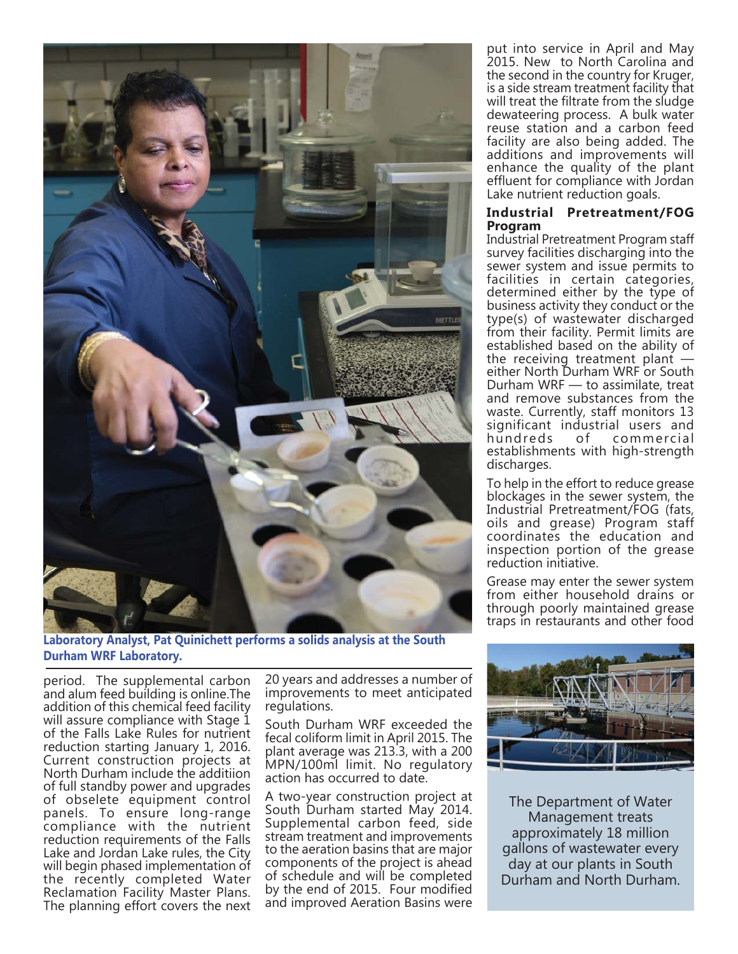

**Laboratory Analyst, Pat Quinichett performs a solids analysis at the South Durham WRF Laboratory.**

period. The supplemental carbon and alum feed building is online.The addition of this chemical feed facility will assure compliance with Stage 1 of the Falls Lake Rules for nutrient reduction starting January 1, 2016. Current construction projects at North Durham include the additiion of full standby power and upgrades of obselete equipment control panels. To ensure long-range compliance with the nutrient reduction requirements of the Falls Lake and Jordan Lake rules, the City will begin phased implementation of the recently completed Water Reclamation Facility Master Plans. The planning effort covers the next

20 years and addresses a number of improvements to meet anticipated regulations.

South Durham WRF exceeded the fecal coliform limit in April 2015. The plant average was 213.3, with a 200 MPN/100ml limit. No regulatory action has occurred to date.

A two-year construction project at South Durham started May 2014. Supplemental carbon feed, side stream treatment and improvements to the aeration basins that are major components of the project is ahead of schedule and will be completed by the end of 2015. Four modified and improved Aeration Basins were

put into service in April and May 2015. New to North Carolina and the second in the country for Kruger, is a side stream treatment facility that will treat the filtrate from the sludge dewateering process. A bulk water reuse station and a carbon feed facility are also being added. The additions and improvements will enhance the quality of the plant effluent for compliance with Jordan Lake nutrient reduction goals.

#### **Industrial Pretreatment/FOG Program**

Industrial Pretreatment Program staff survey facilities discharging into the sewer system and issue permits to facilities in certain categories, determined either by the type of business activity they conduct or the type(s) of wastewater discharged from their facility. Permit limits are established based on the ability of the receiving treatment plant  $$ either North Durham WRF or South Durham WRF — to assimilate, treat and remove substances from the waste. Currently, staff monitors 13 significant industrial users and<br>hundreds of commercial commercial establishments with high-strength discharges.

To help in the effort to reduce grease blockages in the sewer system, the Industrial Pretreatment/FOG (fats, oils and grease) Program staff coordinates the education and inspection portion of the grease reduction initiative.

Grease may enter the sewer system from either household drains or through poorly maintained grease traps in restaurants and other food



The Department of Water Management treats approximately 18 million gallons of wastewater every day at our plants in South Durham and North Durham.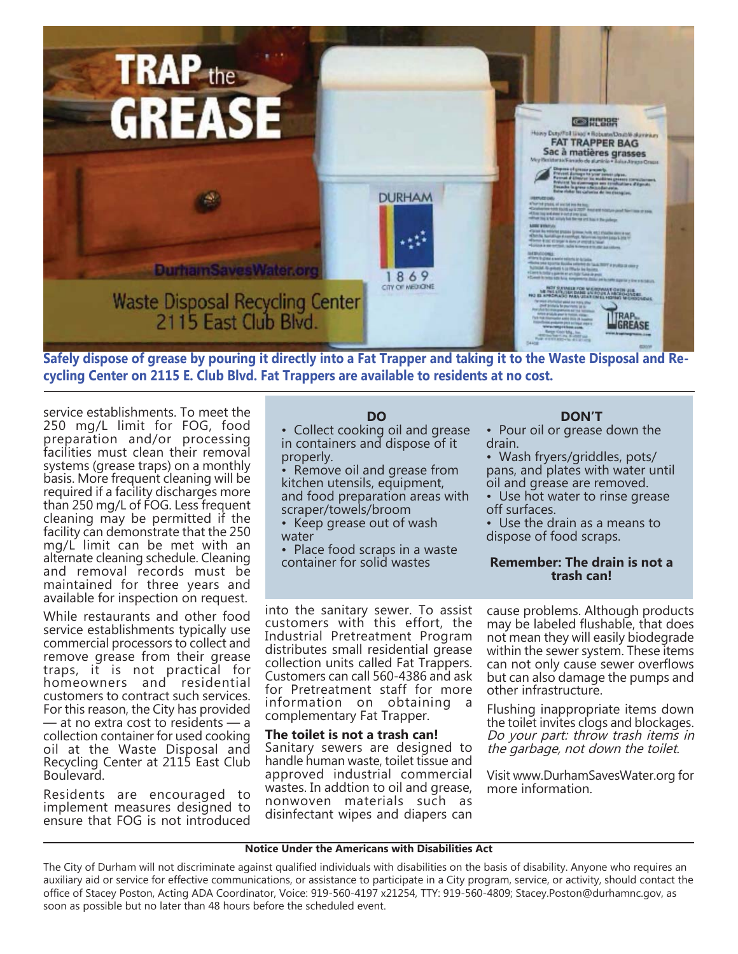

**Safely dispose of grease by pouring it directly into a Fat Trapper and taking it to the Waste Disposal and Recycling Center on 2115 E. Club Blvd. Fat Trappers are available to residents at no cost.** 

service establishments. To meet the 250 mg/L limit for FOG, food preparation and/or processing facilities must clean their removal systems (grease traps) on a monthly basis. More frequent cleaning will be required if a facility discharges more than 250 mg/L of FOG. Less frequent cleaning may be permitted if the facility can demonstrate that the 250 mg/L limit can be met with an alternate cleaning schedule. Cleaning and removal records must be maintained for three years and available for inspection on request.

While restaurants and other food service establishments typically use commercial processors to collect and remove grease from their grease traps, it is not practical for homeowners and residential customers to contract such services. For this reason, the City has provided — at no extra cost to residents — a collection container for used cooking oil at the Waste Disposal and Recycling Center at 2115 East Club Boulevard.

Residents are encouraged to implement measures designed to ensure that FOG is not introduced

#### **DO**

• Collect cooking oil and grease in containers and dispose of it properly.

Remove oil and grease from kitchen utensils, equipment, and food preparation areas with scraper/towels/broom

- Keep grease out of wash water
- Place food scraps in a waste container for solid wastes

into the sanitary sewer. To assist customers with this effort, the Industrial Pretreatment Program distributes small residential grease collection units called Fat Trappers. Customers can call 560-4386 and ask for Pretreatment staff for more information on obtaining a complementary Fat Trapper.

#### **The toilet is not a trash can!**

Sanitary sewers are designed to handle human waste, toilet tissue and approved industrial commercial wastes. In addtion to oil and grease, nonwoven materials such as disinfectant wipes and diapers can

#### **DON'T**

• Pour oil or grease down the drain.

• Wash fryers/griddles, pots/ pans, and plates with water until oil and grease are removed.

• Use hot water to rinse grease off surfaces.

• Use the drain as a means to dispose of food scraps.

#### **Remember: The drain is not a trash can!**

cause problems. Although products may be labeled flushable, that does not mean they will easily biodegrade within the sewer system. These items can not only cause sewer overflows but can also damage the pumps and other infrastructure.

Flushing inappropriate items down the toilet invites clogs and blockages. Do your part: throw trash items in the garbage, not down the toilet.

Visit www.DurhamSavesWater.org for more information.

#### **Notice Under the Americans with Disabilities Act**

The City of Durham will not discriminate against qualified individuals with disabilities on the basis of disability. Anyone who requires an auxiliary aid or service for effective communications, or assistance to participate in a City program, service, or activity, should contact the office of Stacey Poston, Acting ADA Coordinator, Voice: 919-560-4197 x21254, TTY: 919-560-4809; Stacey.Poston@durhamnc.gov, as soon as possible but no later than 48 hours before the scheduled event.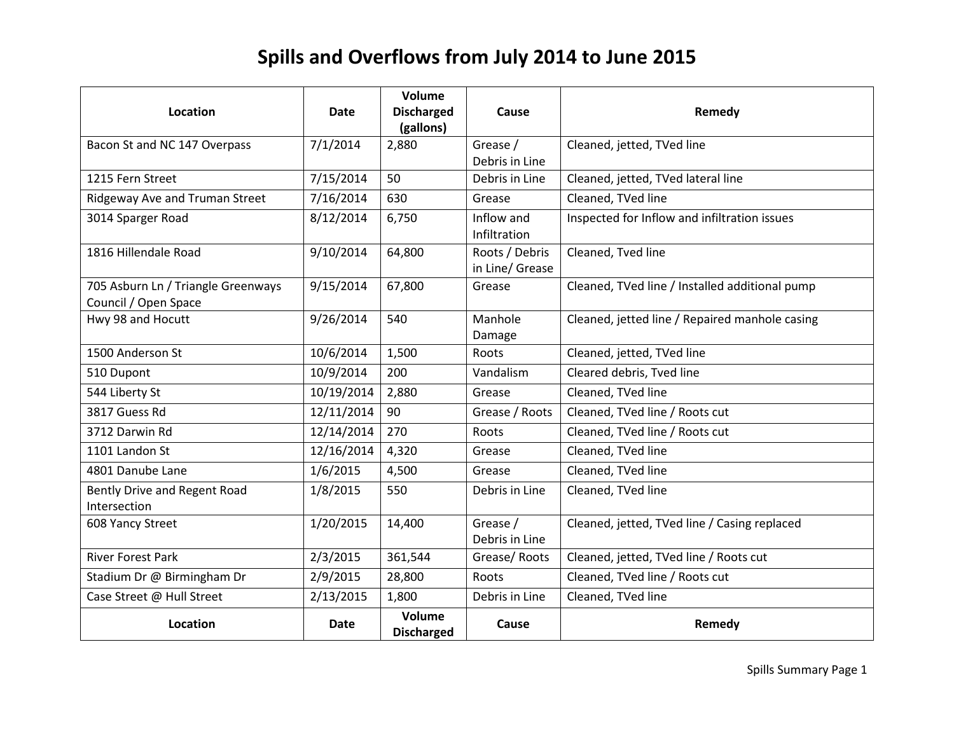# **Spills and Overflows from July 2014 to June 2015**

| Location                                                   | Date       | Volume<br><b>Discharged</b><br>(gallons) | Cause                             | Remedy                                         |
|------------------------------------------------------------|------------|------------------------------------------|-----------------------------------|------------------------------------------------|
| Bacon St and NC 147 Overpass                               | 7/1/2014   | 2,880                                    | Grease /<br>Debris in Line        | Cleaned, jetted, TVed line                     |
| 1215 Fern Street                                           | 7/15/2014  | 50                                       | Debris in Line                    | Cleaned, jetted, TVed lateral line             |
| Ridgeway Ave and Truman Street                             | 7/16/2014  | 630                                      | Grease                            | Cleaned, TVed line                             |
| 3014 Sparger Road                                          | 8/12/2014  | 6,750                                    | Inflow and<br>Infiltration        | Inspected for Inflow and infiltration issues   |
| 1816 Hillendale Road                                       | 9/10/2014  | 64,800                                   | Roots / Debris<br>in Line/ Grease | Cleaned, Tved line                             |
| 705 Asburn Ln / Triangle Greenways<br>Council / Open Space | 9/15/2014  | 67,800                                   | Grease                            | Cleaned, TVed line / Installed additional pump |
| Hwy 98 and Hocutt                                          | 9/26/2014  | 540                                      | Manhole<br>Damage                 | Cleaned, jetted line / Repaired manhole casing |
| 1500 Anderson St                                           | 10/6/2014  | 1,500                                    | Roots                             | Cleaned, jetted, TVed line                     |
| 510 Dupont                                                 | 10/9/2014  | 200                                      | Vandalism                         | Cleared debris, Tved line                      |
| 544 Liberty St                                             | 10/19/2014 | 2,880                                    | Grease                            | Cleaned, TVed line                             |
| 3817 Guess Rd                                              | 12/11/2014 | 90                                       | Grease / Roots                    | Cleaned, TVed line / Roots cut                 |
| 3712 Darwin Rd                                             | 12/14/2014 | 270                                      | Roots                             | Cleaned, TVed line / Roots cut                 |
| 1101 Landon St                                             | 12/16/2014 | 4,320                                    | Grease                            | Cleaned, TVed line                             |
| 4801 Danube Lane                                           | 1/6/2015   | 4,500                                    | Grease                            | Cleaned, TVed line                             |
| Bently Drive and Regent Road<br>Intersection               | 1/8/2015   | 550                                      | Debris in Line                    | Cleaned, TVed line                             |
| 608 Yancy Street                                           | 1/20/2015  | 14,400                                   | Grease /<br>Debris in Line        | Cleaned, jetted, TVed line / Casing replaced   |
| <b>River Forest Park</b>                                   | 2/3/2015   | 361,544                                  | Grease/Roots                      | Cleaned, jetted, TVed line / Roots cut         |
| Stadium Dr @ Birmingham Dr                                 | 2/9/2015   | 28,800                                   | Roots                             | Cleaned, TVed line / Roots cut                 |
| Case Street @ Hull Street                                  | 2/13/2015  | 1,800                                    | Debris in Line                    | Cleaned, TVed line                             |
| Location                                                   | Date       | Volume<br><b>Discharged</b>              | Cause                             | Remedy                                         |